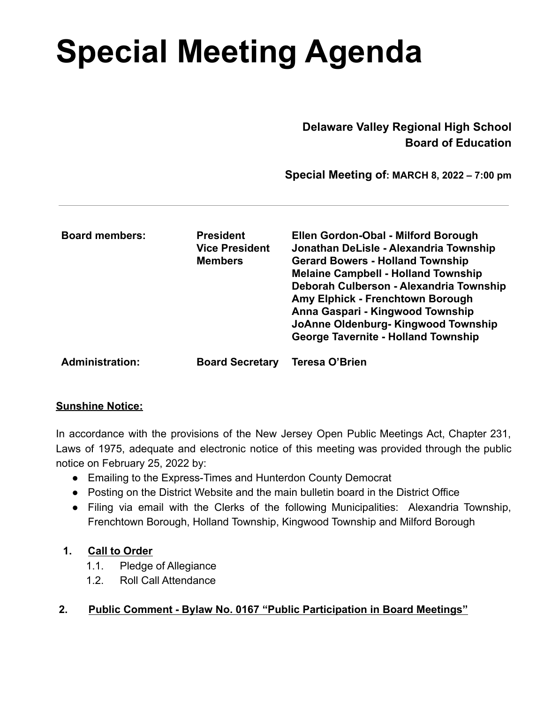# **Special Meeting Agenda**

 **Delaware Valley Regional High School Board of Education**

 **Special Meeting of: MARCH 8, 2022 – 7:00 pm**

| <b>Board members:</b>  | <b>President</b><br><b>Vice President</b><br><b>Members</b> | Ellen Gordon-Obal - Milford Borough<br>Jonathan DeLisle - Alexandria Township<br><b>Gerard Bowers - Holland Township</b><br><b>Melaine Campbell - Holland Township</b><br>Deborah Culberson - Alexandria Township<br>Amy Elphick - Frenchtown Borough<br>Anna Gaspari - Kingwood Township<br>JoAnne Oldenburg-Kingwood Township<br><b>George Tavernite - Holland Township</b> |
|------------------------|-------------------------------------------------------------|-------------------------------------------------------------------------------------------------------------------------------------------------------------------------------------------------------------------------------------------------------------------------------------------------------------------------------------------------------------------------------|
| <b>Administration:</b> | <b>Board Secretary</b>                                      | <b>Teresa O'Brien</b>                                                                                                                                                                                                                                                                                                                                                         |

## **Sunshine Notice:**

In accordance with the provisions of the New Jersey Open Public Meetings Act, Chapter 231, Laws of 1975, adequate and electronic notice of this meeting was provided through the public notice on February 25, 2022 by:

- Emailing to the Express-Times and Hunterdon County Democrat
- Posting on the District Website and the main bulletin board in the District Office
- Filing via email with the Clerks of the following Municipalities: Alexandria Township, Frenchtown Borough, Holland Township, Kingwood Township and Milford Borough

## **1. Call to Order**

- 1.1. Pledge of Allegiance
- 1.2. Roll Call Attendance

## **2. Public Comment - Bylaw No. 0167 "Public Participation in Board Meetings"**